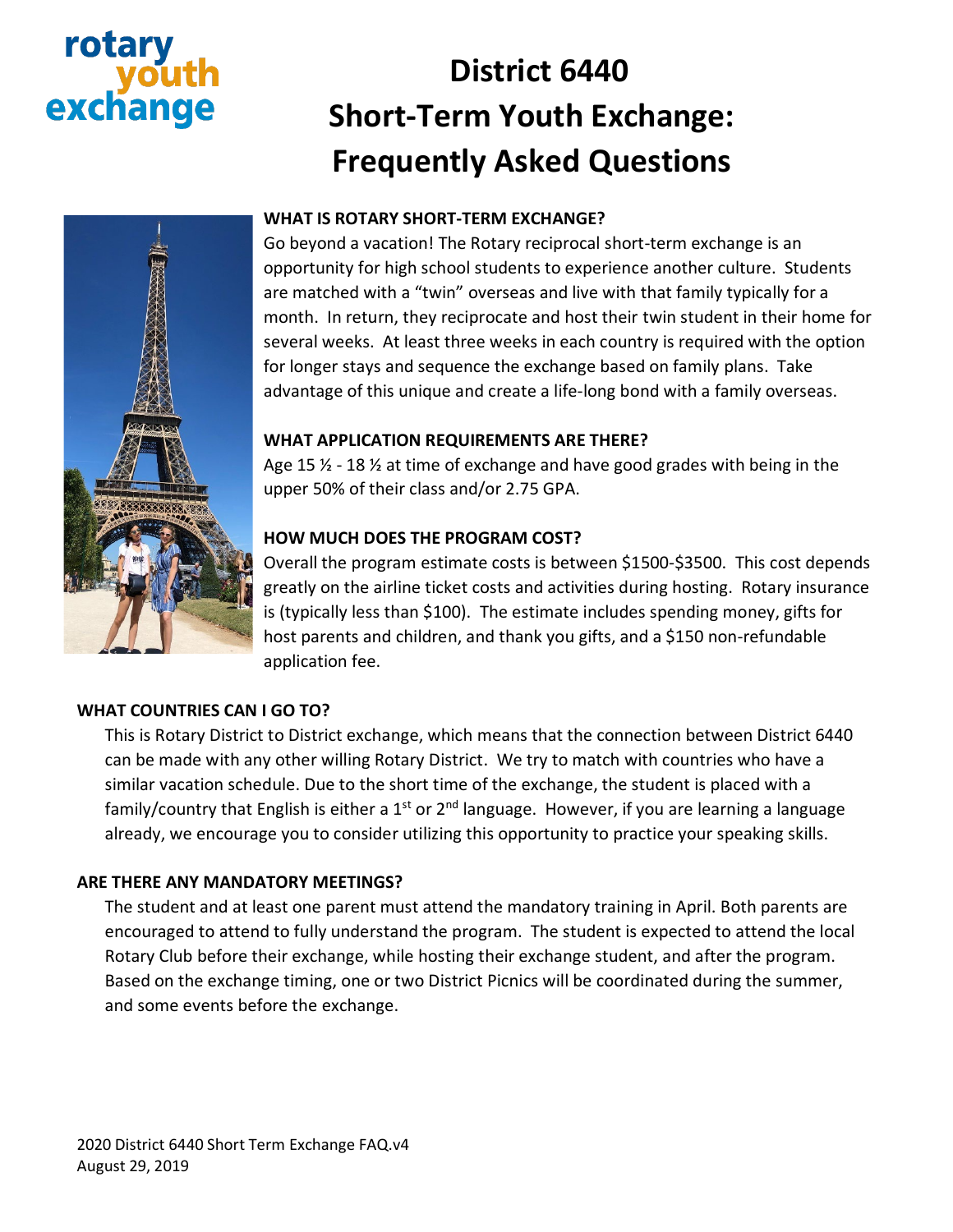# rota excha

# **District 6440 Short-Term Youth Exchange: Frequently Asked Questions**



# **WHAT IS ROTARY SHORT-TERM EXCHANGE?**

Go beyond a vacation! The Rotary reciprocal short-term exchange is an opportunity for high school students to experience another culture. Students are matched with a "twin" overseas and live with that family typically for a month. In return, they reciprocate and host their twin student in their home for several weeks. At least three weeks in each country is required with the option for longer stays and sequence the exchange based on family plans. Take advantage of this unique and create a life-long bond with a family overseas.

### **WHAT APPLICATION REQUIREMENTS ARE THERE?**

Age 15  $\frac{1}{2}$  - 18  $\frac{1}{2}$  at time of exchange and have good grades with being in the upper 50% of their class and/or 2.75 GPA.

# **HOW MUCH DOES THE PROGRAM COST?**

Overall the program estimate costs is between \$1500-\$3500. This cost depends greatly on the airline ticket costs and activities during hosting. Rotary insurance is (typically less than \$100). The estimate includes spending money, gifts for host parents and children, and thank you gifts, and a \$150 non-refundable application fee.

### **WHAT COUNTRIES CAN I GO TO?**

This is Rotary District to District exchange, which means that the connection between District 6440 can be made with any other willing Rotary District. We try to match with countries who have a similar vacation schedule. Due to the short time of the exchange, the student is placed with a family/country that English is either a  $1<sup>st</sup>$  or  $2<sup>nd</sup>$  language. However, if you are learning a language already, we encourage you to consider utilizing this opportunity to practice your speaking skills.

### **ARE THERE ANY MANDATORY MEETINGS?**

The student and at least one parent must attend the mandatory training in April. Both parents are encouraged to attend to fully understand the program. The student is expected to attend the local Rotary Club before their exchange, while hosting their exchange student, and after the program. Based on the exchange timing, one or two District Picnics will be coordinated during the summer, and some events before the exchange.